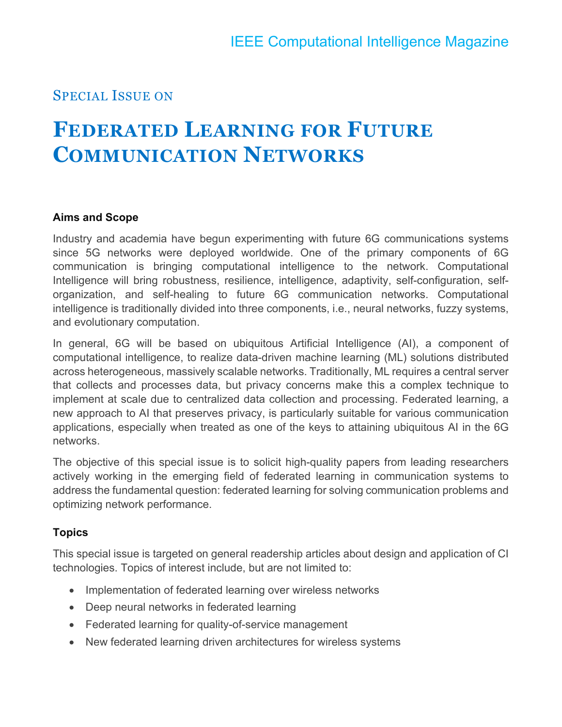# SPECIAL ISSUE ON

# **FEDERATED LEARNING FOR FUTURE COMMUNICATION NETWORKS**

#### **Aims and Scope**

Industry and academia have begun experimenting with future 6G communications systems since 5G networks were deployed worldwide. One of the primary components of 6G communication is bringing computational intelligence to the network. Computational Intelligence will bring robustness, resilience, intelligence, adaptivity, self-configuration, selforganization, and self-healing to future 6G communication networks. Computational intelligence is traditionally divided into three components, i.e., neural networks, fuzzy systems, and evolutionary computation.

In general, 6G will be based on ubiquitous Artificial Intelligence (AI), a component of computational intelligence, to realize data-driven machine learning (ML) solutions distributed across heterogeneous, massively scalable networks. Traditionally, ML requires a central server that collects and processes data, but privacy concerns make this a complex technique to implement at scale due to centralized data collection and processing. Federated learning, a new approach to AI that preserves privacy, is particularly suitable for various communication applications, especially when treated as one of the keys to attaining ubiquitous AI in the 6G networks.

The objective of this special issue is to solicit high-quality papers from leading researchers actively working in the emerging field of federated learning in communication systems to address the fundamental question: federated learning for solving communication problems and optimizing network performance.

## **Topics**

This special issue is targeted on general readership articles about design and application of CI technologies. Topics of interest include, but are not limited to:

- Implementation of federated learning over wireless networks
- Deep neural networks in federated learning
- Federated learning for quality-of-service management
- New federated learning driven architectures for wireless systems